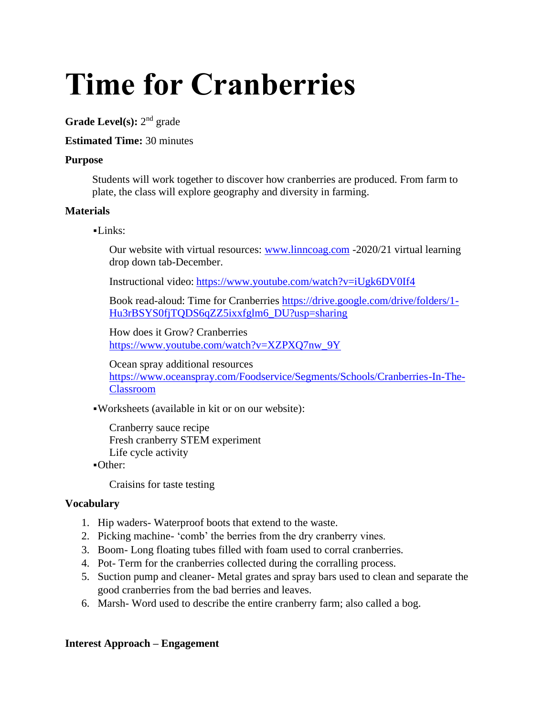# **Time for Cranberries**

Grade Level(s): 2<sup>nd</sup> grade

# **Estimated Time:** 30 minutes

# **Purpose**

Students will work together to discover how cranberries are produced. From farm to plate, the class will explore geography and diversity in farming.

# **Materials**

# $-Links:$

Our website with virtual resources: [www.linncoag.com](http://www.linncoag.com/) -2020/21 virtual learning drop down tab-December.

Instructional video: <https://www.youtube.com/watch?v=iUgk6DV0If4>

Book read-aloud: Time for Cranberries [https://drive.google.com/drive/folders/1-](https://drive.google.com/drive/folders/1-Hu3rBSYS0fjTQDS6qZZ5ixxfglm6_DU?usp=sharing) [Hu3rBSYS0fjTQDS6qZZ5ixxfglm6\\_DU?usp=sharing](https://drive.google.com/drive/folders/1-Hu3rBSYS0fjTQDS6qZZ5ixxfglm6_DU?usp=sharing)

How does it Grow? Cranberries [https://www.youtube.com/watch?v=XZPXQ7nw\\_9Y](https://www.youtube.com/watch?v=XZPXQ7nw_9Y)

Ocean spray additional resources [https://www.oceanspray.com/Foodservice/Segments/Schools/Cranberries-In-The-](https://www.oceanspray.com/Foodservice/Segments/Schools/Cranberries-In-The-Classroom)[Classroom](https://www.oceanspray.com/Foodservice/Segments/Schools/Cranberries-In-The-Classroom)

▪Worksheets (available in kit or on our website):

Cranberry sauce recipe Fresh cranberry STEM experiment Life cycle activity

▪Other:

Craisins for taste testing

# **Vocabulary**

- 1. Hip waders- Waterproof boots that extend to the waste.
- 2. Picking machine- 'comb' the berries from the dry cranberry vines.
- 3. Boom- Long floating tubes filled with foam used to corral cranberries.
- 4. Pot- Term for the cranberries collected during the corralling process.
- 5. Suction pump and cleaner- Metal grates and spray bars used to clean and separate the good cranberries from the bad berries and leaves.
- 6. Marsh- Word used to describe the entire cranberry farm; also called a bog.

# **Interest Approach – Engagement**